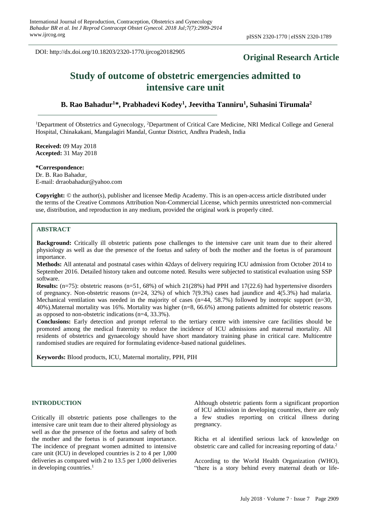DOI: http://dx.doi.org/10.18203/2320-1770.ijrcog20182905

## **Original Research Article**

# **Study of outcome of obstetric emergencies admitted to intensive care unit**

**B. Rao Bahadur<sup>1</sup>\*, Prabhadevi Kodey<sup>1</sup> , Jeevitha Tanniru<sup>1</sup> , Suhasini Tirumala<sup>2</sup>**

<sup>1</sup>Department of Obstetrics and Gynecology, <sup>2</sup>Department of Critical Care Medicine, NRI Medical College and General Hospital, Chinakakani, Mangalagiri Mandal, Guntur District, Andhra Pradesh, India

**Received:** 09 May 2018 **Accepted:** 31 May 2018

**\*Correspondence:** Dr. B. Rao Bahadur,

E-mail: drraobahadur@yahoo.com

**Copyright:** © the author(s), publisher and licensee Medip Academy. This is an open-access article distributed under the terms of the Creative Commons Attribution Non-Commercial License, which permits unrestricted non-commercial use, distribution, and reproduction in any medium, provided the original work is properly cited.

## **ABSTRACT**

**Background:** Critically ill obstetric patients pose challenges to the intensive care unit team due to their altered physiology as well as due the presence of the foetus and safety of both the mother and the foetus is of paramount importance.

**Methods:** All antenatal and postnatal cases within 42days of delivery requiring ICU admission from October 2014 to September 2016. Detailed history taken and outcome noted. Results were subjected to statistical evaluation using SSP software.

**Results:** (n=75): obstetric reasons (n=51, 68%) of which 21(28%) had PPH and 17(22.6) had hypertensive disorders of pregnancy. Non-obstetric reasons (n=24, 32%) of which 7(9.3%) cases had jaundice and 4(5.3%) had malaria. Mechanical ventilation was needed in the majority of cases  $(n=44, 58.7%)$  followed by inotropic support  $(n=30,$ 40%).Maternal mortality was 16%. Mortality was higher (n=8, 66.6%) among patients admitted for obstetric reasons as opposed to non-obstetric indications (n=4, 33.3%).

**Conclusions:** Early detection and prompt referral to the tertiary centre with intensive care facilities should be promoted among the medical fraternity to reduce the incidence of ICU admissions and maternal mortality. All residents of obstetrics and gynaecology should have short mandatory training phase in critical care. Multicentre randomised studies are required for formulating evidence-based national guidelines.

**Keywords:** Blood products, ICU, Maternal mortality, PPH, PIH

#### **INTRODUCTION**

Critically ill obstetric patients pose challenges to the intensive care unit team due to their altered physiology as well as due the presence of the foetus and safety of both the mother and the foetus is of paramount importance. The incidence of pregnant women admitted to intensive care unit (ICU) in developed countries is 2 to 4 per 1,000 deliveries as compared with 2 to 13.5 per 1,000 deliveries in developing countries. $<sup>1</sup>$ </sup>

Although obstetric patients form a significant proportion of ICU admission in developing countries, there are only a few studies reporting on critical illness during pregnancy.

Richa et al identified serious lack of knowledge on obstetric care and called for increasing reporting of data.<sup>2</sup>

According to the World Health Organization (WHO), "there is a story behind every maternal death or life-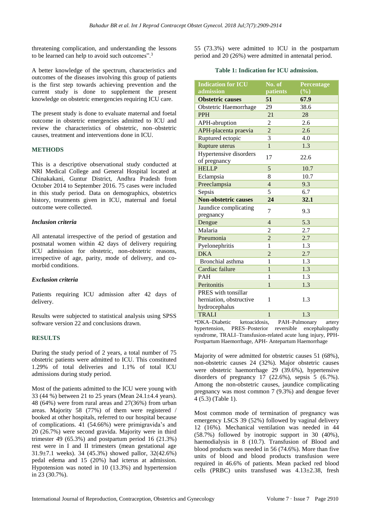threatening complication, and understanding the lessons to be learned can help to avoid such outcomes".<sup>3</sup>

A better knowledge of the spectrum, characteristics and outcomes of the diseases involving this group of patients is the first step towards achieving prevention and the current study is done to supplement the present knowledge on obstetric emergencies requiring ICU care.

The present study is done to evaluate maternal and foetal outcome in obstetric emergencies admitted to ICU and review the characteristics of obstetric, non–obstetric causes, treatment and interventions done in ICU.

## **METHODS**

This is a descriptive observational study conducted at NRI Medical College and General Hospital located at Chinakakani, Guntur District, Andhra Pradesh from October 2014 to September 2016. 75 cases were included in this study period. Data on demographics, obstetrics history, treatments given in ICU, maternal and foetal outcome were collected.

## *Inclusion criteria*

All antenatal irrespective of the period of gestation and postnatal women within 42 days of delivery requiring ICU admission for obstetric, non-obstetric reasons, irrespective of age, parity, mode of delivery, and comorbid conditions.

## *Exclusion criteria*

Patients requiring ICU admission after 42 days of delivery.

Results were subjected to statistical analysis using SPSS software version 22 and conclusions drawn.

## **RESULTS**

During the study period of 2 years, a total number of 75 obstetric patients were admitted to ICU. This constituted 1.29% of total deliveries and 1.1% of total ICU admissions during study period.

Most of the patients admitted to the ICU were young with 33 (44 %) between 21 to 25 years (Mean 24.1±4.4 years). 48 (64%) were from rural areas and 27(36%) from urban areas. Majority 58 (77%) of them were registered / booked at other hospitals, referred to our hospital because of complications. 41 (54.66%) were primigravida's and 20 (26.7%) were second gravida. Majority were in third trimester 49 (65.3%) and postpartum period 16 (21.3%) rest were in I and II trimesters (mean gestational age 31.9±7.1 weeks). 34 (45.3%) showed pallor, 32(42.6%) pedal edema and 15 (20%) had icterus at admission. Hypotension was noted in 10 (13.3%) and hypertension in 23 (30.7%).

55 (73.3%) were admitted to ICU in the postpartum period and 20 (26%) were admitted in antenatal period.

#### **Table 1: Indication for ICU admission.**

| <b>Indication for ICU</b>                                       | No. of         | Percentage |
|-----------------------------------------------------------------|----------------|------------|
| admission                                                       | patients       | (%)        |
| <b>Obstetric causes</b>                                         | 51             | 67.9       |
| Obstetric Haemorrhage                                           | 29             | 38.6       |
| <b>PPH</b>                                                      | 21             | 28         |
| APH-abruption                                                   | $\overline{2}$ | 2.6        |
| APH-placenta praevia                                            | 2              | 2.6        |
| Ruptured ectopic                                                | 3              | 4.0        |
| Rupture uterus                                                  | $\mathbf{1}$   | 1.3        |
| Hypertensive disorders<br>of pregnancy                          | 17             | 22.6       |
| <b>HELLP</b>                                                    | 5              | 10.7       |
| Eclampsia                                                       | 8              | 10.7       |
| Preeclampsia                                                    | $\overline{4}$ | 9.3        |
| Sepsis                                                          | 5              | 6.7        |
| <b>Non-obstetric causes</b>                                     | 24             | 32.1       |
| Jaundice complicating<br>pregnancy                              | 7              | 9.3        |
| Dengue                                                          | $\overline{4}$ | 5.3        |
| Malaria                                                         | $\overline{2}$ | 2.7        |
| Pneumonia                                                       | $\overline{c}$ | 2.7        |
| Pyelonephritis                                                  | 1              | 1.3        |
| DKA                                                             | $\overline{c}$ | 2.7        |
| Bronchial asthma                                                | 1              | 1.3        |
| Cardiac failure                                                 | $\mathbf{1}$   | 1.3        |
| <b>PAH</b>                                                      | 1              | 1.3        |
| Peritonitis                                                     | $\mathbf{1}$   | 1.3        |
| PRES with tonsillar<br>herniation, obstructive<br>hydrocephalus | 1              | 1.3        |
| <b>TRALI</b>                                                    | $\mathbf{1}$   | 1.3        |

\*DKA–Diabetic ketoacidosis, PAH–Pulmonary artery hypertension, PRES–Posterior reversible encephalopathy syndrome, TRALI–Transfusion-related acute lung injury, PPH-Postpartum Haemorrhage, APH- Antepartum Haemorrhage

Majority of were admitted for obstetric causes 51 (68%), non-obstetric causes 24 (32%). Major obstetric causes were obstetric haemorrhage 29 (39.6%), hypertensive disorders of pregnancy 17 (22.6%), sepsis 5 (6.7%). Among the non-obstetric causes, jaundice complicating pregnancy was most common 7 (9.3%) and dengue fever 4 (5.3) (Table 1).

Most common mode of termination of pregnancy was emergency LSCS 39 (52%) followed by vaginal delivery 12 (16%). Mechanical ventilation was needed in 44 (58.7%) followed by inotropic support in 30 (40%), haemodialysis in 8 (10.7). Transfusion of Blood and blood products was needed in 56 (74.6%). More than five units of blood and blood products transfusion were required in 46.6% of patients. Mean packed red blood cells (PRBC) units transfused was 4.13±2.38, fresh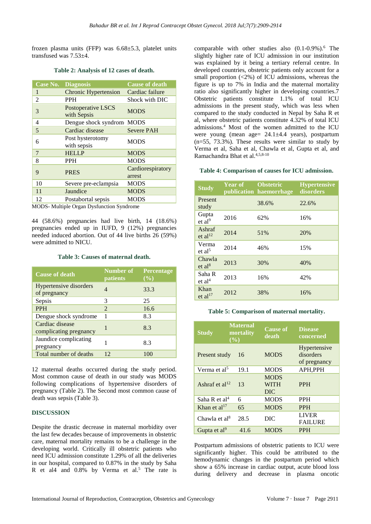frozen plasma units (FFP) was  $6.68\pm5.3$ , platelet units transfused was 7.53±4.

|                | <b>Case No. Diagnosis</b>         | <b>Cause of death</b>       |
|----------------|-----------------------------------|-----------------------------|
| 1              | <b>Chronic Hypertension</b>       | Cardiac failure             |
| 2              | <b>PPH</b>                        | Shock with DIC              |
| 3              | Postoperative LSCS<br>with Sepsis | <b>MODS</b>                 |
| 4              | Dengue shock syndrom              | <b>MODS</b>                 |
| 5              | Cardiac disease                   | <b>Severe PAH</b>           |
| 6              | Post hysterotomy<br>with sepsis   | <b>MODS</b>                 |
| $\overline{7}$ | <b>HELLP</b>                      | <b>MODS</b>                 |
| 8              | <b>PPH</b>                        | <b>MODS</b>                 |
| 9              | <b>PRES</b>                       | Cardiorespiratory<br>arrest |
| 10             | Severe pre-eclampsia              | <b>MODS</b>                 |
| 11             | Jaundice                          | <b>MODS</b>                 |
| 12             | Postabortal sepsis                | <b>MODS</b>                 |

#### **Table 2: Analysis of 12 cases of death.**

MODS- Multiple Organ Dysfunction Syndrome

44 (58.6%) pregnancies had live birth, 14 (18.6%) pregnancies ended up in IUFD, 9 (12%) pregnancies needed induced abortion. Out of 44 live births 26 (59%) were admitted to NICU.

#### **Table 3: Causes of maternal death.**

| Cause of death                            | <b>Number of</b><br>patients | Percentage<br>(%) |
|-------------------------------------------|------------------------------|-------------------|
| Hypertensive disorders<br>of pregnancy    |                              | 33.3              |
| Sepsis                                    | 3                            | 25                |
| <b>PPH</b>                                | $\mathcal{D}_{\mathcal{L}}$  | 16.6              |
| Dengue shock syndrome                     |                              | 8.3               |
| Cardiac disease<br>complicating pregnancy | 1                            | 8.3               |
| Jaundice complicating<br>pregnancy        |                              | 8.3               |
| Total number of deaths                    | 12                           | 100               |

12 maternal deaths occurred during the study period. Most common cause of death in our study was MODS following complications of hypertensive disorders of pregnancy (Table 2). The Second most common cause of death was sepsis (Table 3).

#### **DISCUSSION**

Despite the drastic decrease in maternal morbidity over the last few decades because of improvements in obstetric care, maternal mortality remains to be a challenge in the developing world. Critically ill obstetric patients who need ICU admission constitute 1.29% of all the deliveries in our hospital, compared to 0.87% in the study by Saha R et al4 and  $0.8\%$  by Verma et al.<sup>5</sup> The rate is

comparable with other studies also  $(0.1-0.9\%)$ .<sup>6</sup> The slightly higher rate of ICU admission in our institution was explained by it being a tertiary referral centre. In developed countries, obstetric patients only account for a small proportion  $\langle 2\% \rangle$  of ICU admissions, whereas the figure is up to 7% in India and the maternal mortality ratio also significantly higher in developing countries.7 Obstetric patients constitute 1.1% of total ICU admissions in the present study, which was less when compared to the study conducted in Nepal by Saha R et al, where obstetric patients constitute 4.32% of total ICU admissions.<sup>4</sup> Most of the women admitted to the ICU were young (mean age= 24.1±4.4 years), postpartum  $(n=55, 73.3%)$ . These results were similar to study by Verma et al, Saha et al, Chawla et al, Gupta et al, and Ramachandra Bhat et al.4,5,8-10

#### **Table 4: Comparison of causes for ICU admission.**

| <b>Study</b>                  | <b>Year of</b> | <b>Obstetric</b><br>publication haemorrhage | <b>Hypertensive</b><br>disorders |
|-------------------------------|----------------|---------------------------------------------|----------------------------------|
| Present<br>study              |                | 38.6%                                       | 22.6%                            |
| Gupta<br>et al <sup>9</sup>   | 2016           | 62%                                         | 16%                              |
| Ashraf<br>et al <sup>12</sup> | 2014           | 51%                                         | 20%                              |
| Verma<br>et al <sup>5</sup>   | 2014           | 46%                                         | 15%                              |
| Chawla<br>et al <sup>8</sup>  | 2013           | 30%                                         | 40%                              |
| Saha R<br>et al <sup>4</sup>  | 2013           | 16%                                         | 42%                              |
| Khan<br>et $al17$             | 2012           | 38%                                         | 16%                              |

#### **Table 5: Comparison of maternal mortality.**

| <b>Study</b>               | <b>Maternal</b><br>mortality<br>$($ %) | <b>Cause of</b><br>death                 | <b>Disease</b><br>concerned               |
|----------------------------|----------------------------------------|------------------------------------------|-------------------------------------------|
| Present study              | 16                                     | <b>MODS</b>                              | Hypertensive<br>disorders<br>of pregnancy |
| Verma et al <sup>5</sup>   | 19.1                                   | <b>MODS</b>                              | APH, PPH                                  |
| Ashraf et al <sup>12</sup> | 13                                     | <b>MODS</b><br><b>WITH</b><br><b>DIC</b> | <b>PPH</b>                                |
| Saha R et $al4$            | 6                                      | <b>MODS</b>                              | <b>PPH</b>                                |
| Khan et $al17$             | 65                                     | <b>MODS</b>                              | <b>PPH</b>                                |
| Chawla et $al8$            | 28.5                                   | DIC                                      | <b>LIVER</b><br><b>FAILURE</b>            |
| Gupta et al <sup>9</sup>   | 41.6                                   | <b>MODS</b>                              | <b>PPH</b>                                |

Postpartum admissions of obstetric patients to ICU were significantly higher. This could be attributed to the hemodynamic changes in the postpartum period which show a 65% increase in cardiac output, acute blood loss during delivery and decrease in plasma oncotic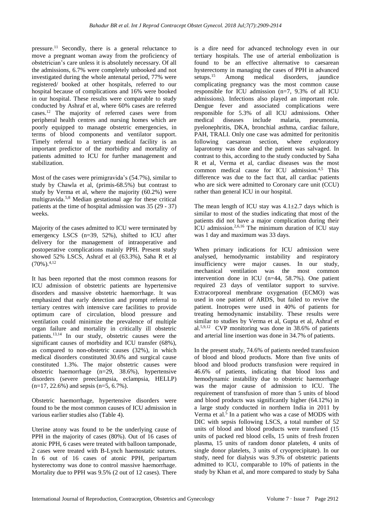pressure.<sup>11</sup> Secondly, there is a general reluctance to move a pregnant woman away from the proficiency of obstetrician's care unless it is absolutely necessary. Of all the admissions, 6.7% were completely unbooked and not investigated during the whole antenatal period, 77% were registered/ booked at other hospitals, referred to our hospital because of complications and 16% were booked in our hospital. These results were comparable to study conducted by Ashraf et al, where 60% cases are referred cases.<sup>12</sup> The majority of referred cases were from peripheral health centres and nursing homes which are poorly equipped to manage obstetric emergencies, in terms of blood components and ventilator support. Timely referral to a tertiary medical facility is an important predictor of the morbidity and mortality of patients admitted to ICU for further management and stabilization.

Most of the cases were primigravida's (54.7%), similar to study by Chawla et al, (primis-68.5%) but contrast to study by Verma et al, where the majority (60.2%) were multigravida.5,8 Median gestational age for these critical patients at the time of hospital admission was 35 (29 - 37) weeks.

Majority of the cases admitted to ICU were terminated by emergency LSCS (n=39, 52%), shifted to ICU after delivery for the management of intraoperative and postoperative complications mainly PPH. Present study showed 52% LSCS, Ashraf et al (63.3%), Saha R et al  $(70\%)^{4,12}$ 

It has been reported that the most common reasons for ICU admission of obstetric patients are hypertensive disorders and massive obstetric haemorrhage. It was emphasized that early detection and prompt referral to tertiary centres with intensive care facilities to provide optimum care of circulation, blood pressure and ventilation could minimize the prevalence of multiple organ failure and mortality in critically ill obstetric patients.13,14 In our study, obstetric causes were the significant causes of morbidity and ICU transfer (68%), as compared to non-obstetric causes (32%), in which medical disorders constituted 30.6% and surgical cause constituted 1.3%. The major obstetric causes were obstetric haemorrhage (n=29, 38.6%), hypertensive disorders (severe preeclampsia, eclampsia, HELLP)  $(n=17, 22.6\%)$  and sepsis  $(n=5, 6.7\%)$ .

Obstetric haemorrhage, hypertensive disorders were found to be the most common causes of ICU admission in various earlier studies also (Table 4).

Uterine atony was found to be the underlying cause of PPH in the majority of cases (80%). Out of 16 cases of atonic PPH, 6 cases were treated with balloon tamponade, 2 cases were treated with B-Lynch haemostatic sutures. In 6 out of 16 cases of atonic PPH, peripartum hysterectomy was done to control massive haemorrhage. Mortality due to PPH was 9.5% (2 out of 12 cases). There is a dire need for advanced technology even in our tertiary hospitals. The use of arterial embolization is found to be an effective alternative to caesarean hysterectomy in managing the cases of PPH in advanced setups.<sup>15</sup> Among medical disorders, jaundice complicating pregnancy was the most common cause responsible for ICU admission (n=7, 9.3% of all ICU admissions). Infections also played an important role. Dengue fever and associated complications were responsible for 5.3% of all ICU admissions. Other medical diseases include malaria, pneumonia, pyelonephritis, DKA, bronchial asthma, cardiac failure, PAH, TRALI. Only one case was admitted for peritonitis following caesarean section, where exploratory laparotomy was done and the patient was salvaged. In contrast to this, according to the study conducted by Saha R et al, Verma et al, cardiac diseases was the most common medical cause for ICU admission.4,5 This difference was due to the fact that, all cardiac patients who are sick were admitted to Coronary care unit (CCU) rather than general ICU in our hospital.

The mean length of ICU stay was  $4.1\pm2.7$  days which is similar to most of the studies indicating that most of the patients did not have a major complication during their ICU admission.2,6,16 The minimum duration of ICU stay was 1 day and maximum was 33 days.

When primary indications for ICU admission were analysed, hemodynamic instability and respiratory insufficiency were major causes. In our study, mechanical ventilation was the most common intervention done in ICU (n=44, 58.7%). One patient required 23 days of ventilator support to survive. Extracorporeal membrane oxygenation (ECMO) was used in one patient of ARDS, but failed to revive the patient. Inotropes were used in 40% of patients for treating hemodynamic instability. These results were similar to studies by Verma et al, Gupta et al, Ashraf et al.5,9,12 CVP monitoring was done in 38.6% of patients and arterial line insertion was done in 34.7% of patients.

In the present study, 74.6% of patients needed transfusion of blood and blood products. More than five units of blood and blood products transfusion were required in 46.6% of patients, indicating that blood loss and hemodynamic instability due to obstetric haemorrhage was the major cause of admission to ICU. The requirement of transfusion of more than 5 units of blood and blood products was significantly higher (64.12%) in a large study conducted in northern India in 2011 by Verma et al.<sup>5</sup> In a patient who was a case of MODS with DIC with sepsis following LSCS, a total number of 52 units of blood and blood products were transfused (15 units of packed red blood cells, 15 units of fresh frozen plasma, 15 units of random donor platelets, 4 units of single donor platelets, 3 units of cryoprecipitate). In our study, need for dialysis was 9.3% of obstetric patients admitted to ICU, comparable to 10% of patients in the study by Khan et al, and more compared to study by Saha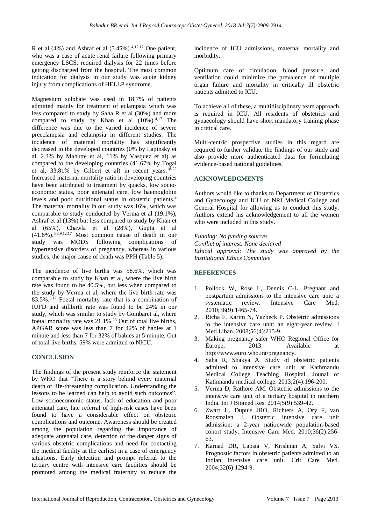R et al  $(4\%)$  and Ashraf et al  $(5.45\%)^{4,12,17}$  One patient, who was a case of acute renal failure following primary emergency LSCS, required dialysis for 22 times before getting discharged from the hospital. The most common indication for dialysis in our study was acute kidney injury from complications of HELLP syndrome.

Magnesium sulphate was used in 18.7% of patients admitted mainly for treatment of eclampsia which was less compared to study by Saha R et al (30%) and more compared to study by Khan et al  $(10\%)$ <sup>4,17</sup> The difference was due to the varied incidence of severe preeclampsia and eclampsia in different studies. The incidence of maternal mortality has significantly decreased in the developed countries (0% by Lapinsky et al, 2.3% by Mahutte et al, 11% by Vasquez et al) as compared to the developing countries (41.67% by Togal et al,  $33.81\%$  by Gilbert et al) in recent years.<sup>18-22</sup> Increased maternal mortality ratio in developing countries have been attributed to treatment by quacks, low socioeconomic status, poor antenatal care, low haemoglobin levels and poor nutritional status in obstetric patients.<sup>9</sup> The maternal mortality in our study was 16%, which was comparable to study conducted by Verma et al (19.1%), Ashraf et al (13%) but less compared to study by Khan et al (65%), Chawla et al (28%), Gupta et al  $(41.6\%)$ .<sup>5,8,9,12,17</sup> Most common cause of death in our study was MODS following complications of hypertensive disorders of pregnancy, whereas in various studies, the major cause of death was PPH (Table 5).

The incidence of live births was 58.6%, which was comparable to study by Khan et al, where the live birth rate was found to be 40.5%, but less when compared to the study by Verma et al, where the live birth rate was 83.5%.5,17 Foetal mortality rate that is a combination of IUFD and stillbirth rate was found to be 24% in our study, which was similar to study by Gombaret al, where foetal mortality rate was  $21.1\%$ <sup>23</sup> Out of total live births, APGAR score was less than 7 for 42% of babies at 1 minute and less than 7 for 32% of babies at 5 minute. Out of total live births, 59% were admitted to NICU.

## **CONCLUSION**

The findings of the present study reinforce the statement by WHO that "There is a story behind every maternal death or life-threatening complication. Understanding the lessons to be learned can help to avoid such outcomes". Low socioeconomic status, lack of education and poor antenatal care, late referral of high-risk cases have been found to have a considerable effect on obstetric complications and outcome. Awareness should be created among the population regarding the importance of adequate antenatal care, detection of the danger signs of various obstetric complications and need for contacting the medical facility at the earliest in a case of emergency situations. Early detection and prompt referral to the tertiary centre with intensive care facilities should be promoted among the medical fraternity to reduce the incidence of ICU admissions, maternal mortality and morbidity.

Optimum care of circulation, blood pressure, and ventilation could minimize the prevalence of multiple organ failure and mortality in critically ill obstetric patients admitted to ICU.

To achieve all of these, a multidisciplinary team approach is required in ICU. All residents of obstetrics and gynaecology should have short mandatory training phase in critical care.

Multi-centric prospective studies in this regard are required to further validate the findings of our study and also provide more authenticated data for formulating evidence-based national guidelines.

#### **ACKNOWLEDGMENTS**

Authors would like to thanks to Department of Obstetrics and Gynecology and ICU of NRI Medical College and General Hospital for allowing us to conduct this study. Authors extend his acknowledgement to all the women who were included in this study.

*Funding: No funding sources Conflict of interest: None declared Ethical approval: The study was approved by the Institutional Ethics Committee*

## **REFERENCES**

- 1. Pollock W, Rose L, Dennis C-L. Pregnant and postpartum admissions to the intensive care unit: a systematic review. Intensive Care Med. 2010;36(9):1465-74.
- 2. Richa F, Karim N, Yazbeck P. Obstetric admissions to the intensive care unit: an eight-year review. J Med Liban. 2008;56(4):215-9.
- 3. Making pregnancy safer WHO Regional Office for Europe. 2013. Available at http://www.euro.who.int/pregnancy.
- 4. Saha R, Shakya A. Study of obstetric patients admitted to intensive care unit at Kathmandu Medical College Teaching Hospital. Jounal of Kathmandu medical college. 2013;2(4):196-200.
- 5. Verma D, Rathore AM. Obstetric admissions to the intensive care unit of a tertiary hospital in northern India. Int J Biomed Res. 2014;5(9):539-42.
- 6. Zwart JJ, Dupuis JRO, Richters A, Ory F, van Roosmalen J. Obstetric intensive care unit admission: a 2-year nationwide population-based cohort study. Intensive Care Med. 2010;36(2):256- 63.
- 7. Karnad DR, Lapsia V, Krishnan A, Salvi VS. Prognostic factors in obstetric patients admitted to an Indian intensive care unit. Crit Care Med. 2004;32(6):1294-9.